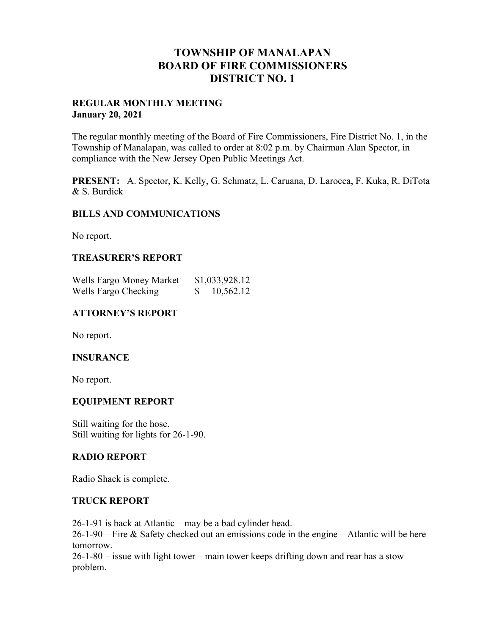# **TOWNSHIP OF MANALAPAN BOARD OF FIRE COMMISSIONERS DISTRICT NO. 1**

## **REGULAR MONTHLY MEETING January 20, 2021**

The regular monthly meeting of the Board of Fire Commissioners, Fire District No. 1, in the Township of Manalapan, was called to order at 8:02 p.m. by Chairman Alan Spector, in compliance with the New Jersey Open Public Meetings Act.

**PRESENT:** A. Spector, K. Kelly, G. Schmatz, L. Caruana, D. Larocca, F. Kuka, R. DiTota & S. Burdick

## **BILLS AND COMMUNICATIONS**

No report.

## **TREASURER'S REPORT**

| Wells Fargo Money Market | \$1,033,928.12 |
|--------------------------|----------------|
| Wells Fargo Checking     | 10,562.12      |

## **ATTORNEY'S REPORT**

No report.

### **INSURANCE**

No report.

## **EQUIPMENT REPORT**

Still waiting for the hose. Still waiting for lights for 26-1-90.

### **RADIO REPORT**

Radio Shack is complete.

### **TRUCK REPORT**

26-1-91 is back at Atlantic – may be a bad cylinder head.

26-1-90 – Fire & Safety checked out an emissions code in the engine – Atlantic will be here tomorrow.

26-1-80 – issue with light tower – main tower keeps drifting down and rear has a stow problem.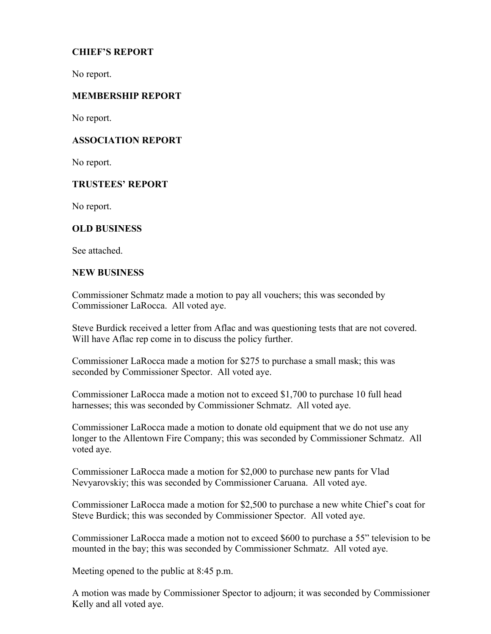## **CHIEF'S REPORT**

No report.

## **MEMBERSHIP REPORT**

No report.

## **ASSOCIATION REPORT**

No report.

## **TRUSTEES' REPORT**

No report.

## **OLD BUSINESS**

See attached.

## **NEW BUSINESS**

Commissioner Schmatz made a motion to pay all vouchers; this was seconded by Commissioner LaRocca. All voted aye.

Steve Burdick received a letter from Aflac and was questioning tests that are not covered. Will have Aflac rep come in to discuss the policy further.

Commissioner LaRocca made a motion for \$275 to purchase a small mask; this was seconded by Commissioner Spector. All voted aye.

Commissioner LaRocca made a motion not to exceed \$1,700 to purchase 10 full head harnesses; this was seconded by Commissioner Schmatz. All voted aye.

Commissioner LaRocca made a motion to donate old equipment that we do not use any longer to the Allentown Fire Company; this was seconded by Commissioner Schmatz. All voted aye.

Commissioner LaRocca made a motion for \$2,000 to purchase new pants for Vlad Nevyarovskiy; this was seconded by Commissioner Caruana. All voted aye.

Commissioner LaRocca made a motion for \$2,500 to purchase a new white Chief's coat for Steve Burdick; this was seconded by Commissioner Spector. All voted aye.

Commissioner LaRocca made a motion not to exceed \$600 to purchase a 55" television to be mounted in the bay; this was seconded by Commissioner Schmatz. All voted aye.

Meeting opened to the public at 8:45 p.m.

A motion was made by Commissioner Spector to adjourn; it was seconded by Commissioner Kelly and all voted aye.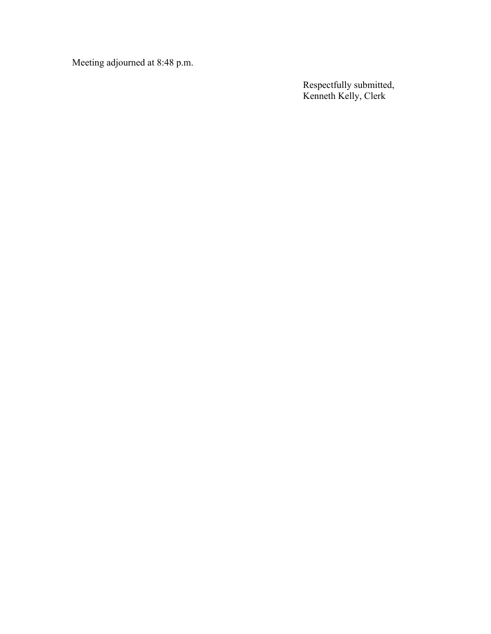Meeting adjourned at 8:48 p.m.

Respectfully submitted, Kenneth Kelly, Clerk